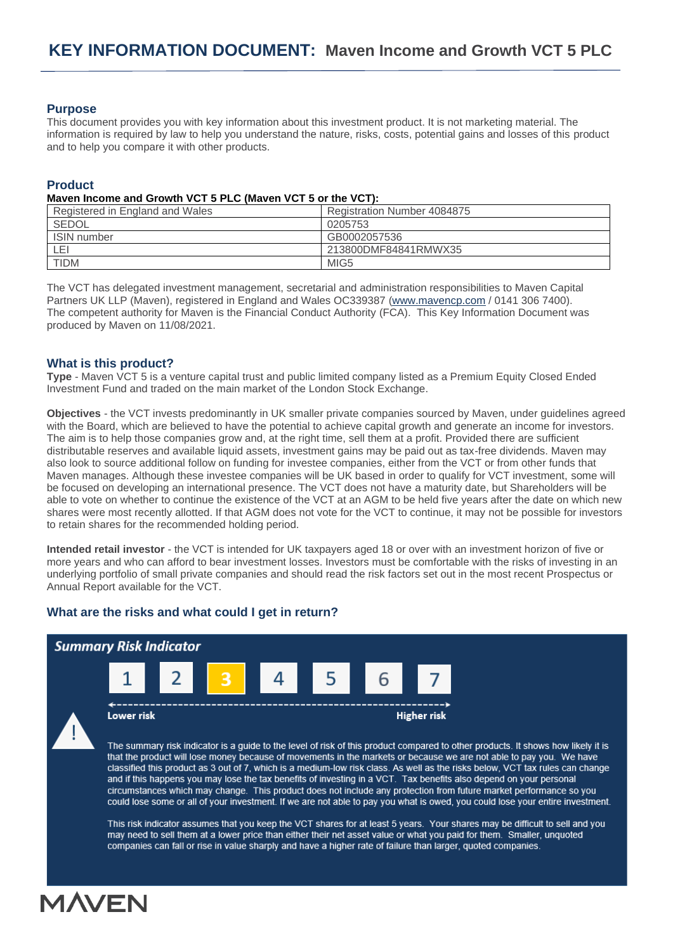# **Purpose**

This document provides you with key information about this investment product. It is not marketing material. The information is required by law to help you understand the nature, risks, costs, potential gains and losses of this product and to help you compare it with other products.

# **Product**

#### **Maven Income and Growth VCT 5 PLC (Maven VCT 5 or the VCT):**

| Registered in England and Wales | Registration Number 4084875 |
|---------------------------------|-----------------------------|
| <b>SEDOL</b>                    | 0205753                     |
| <b>ISIN</b> number              | GB0002057536                |
| LEI                             | 213800DMF84841RMWX35        |
| <b>TIDM</b>                     | MIG <sub>5</sub>            |

The VCT has delegated investment management, secretarial and administration responsibilities to Maven Capital Partners UK LLP (Maven), registered in England and Wales OC339387 [\(www.mavencp.com](http://www.mavencp.com/) / 0141 306 7400). The competent authority for Maven is the Financial Conduct Authority (FCA). This Key Information Document was produced by Maven on 11/08/2021.

# **What is this product?**

**Type** - Maven VCT 5 is a venture capital trust and public limited company listed as a Premium Equity Closed Ended Investment Fund and traded on the main market of the London Stock Exchange.

**Objectives** - the VCT invests predominantly in UK smaller private companies sourced by Maven, under guidelines agreed with the Board, which are believed to have the potential to achieve capital growth and generate an income for investors. The aim is to help those companies grow and, at the right time, sell them at a profit. Provided there are sufficient distributable reserves and available liquid assets, investment gains may be paid out as tax-free dividends. Maven may also look to source additional follow on funding for investee companies, either from the VCT or from other funds that Maven manages. Although these investee companies will be UK based in order to qualify for VCT investment, some will be focused on developing an international presence. The VCT does not have a maturity date, but Shareholders will be able to vote on whether to continue the existence of the VCT at an AGM to be held five years after the date on which new shares were most recently allotted. If that AGM does not vote for the VCT to continue, it may not be possible for investors to retain shares for the recommended holding period.

**Intended retail investor** - the VCT is intended for UK taxpayers aged 18 or over with an investment horizon of five or more years and who can afford to bear investment losses. Investors must be comfortable with the risks of investing in an underlying portfolio of small private companies and should read the risk factors set out in the most recent Prospectus or Annual Report available for the VCT.

# **What are the risks and what could I get in return?**



The summary risk indicator is a guide to the level of risk of this product compared to other products. It shows how likely it is that the product will lose money because of movements in the markets or because we are not able to pay you. We have classified this product as 3 out of 7, which is a medium-low risk class. As well as the risks below, VCT tax rules can change and if this happens you may lose the tax benefits of investing in a VCT. Tax benefits also depend on your personal circumstances which may change. This product does not include any protection from future market performance so you could lose some or all of your investment. If we are not able to pay you what is owed, you could lose your entire investment.

This risk indicator assumes that you keep the VCT shares for at least 5 years. Your shares may be difficult to sell and you may need to sell them at a lower price than either their net asset value or what you paid for them. Smaller, unquoted companies can fall or rise in value sharply and have a higher rate of failure than larger, quoted companies.

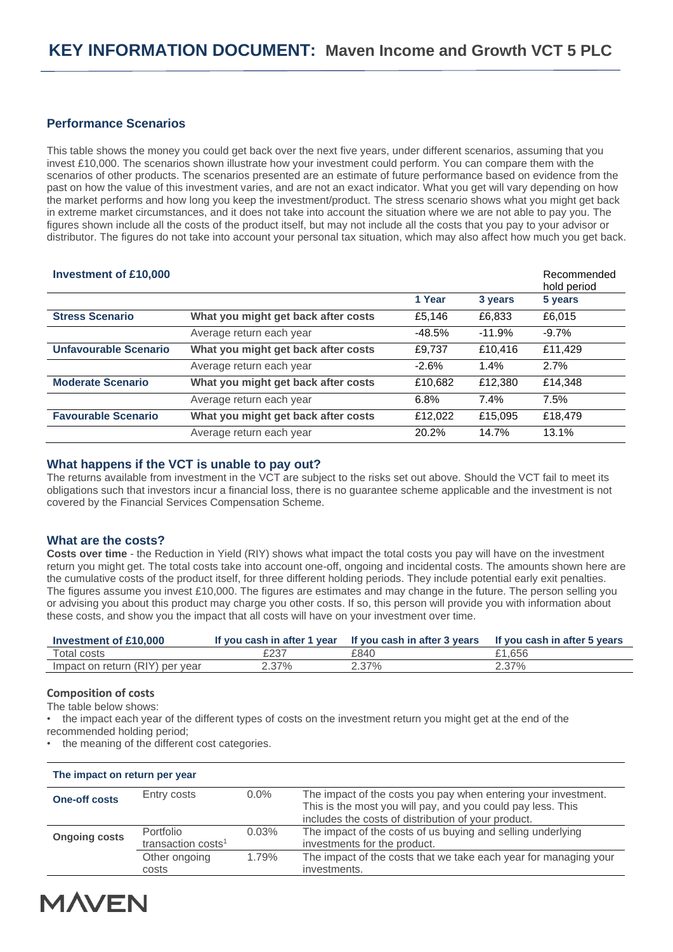# **Performance Scenarios**

This table shows the money you could get back over the next five years, under different scenarios, assuming that you invest £10,000. The scenarios shown illustrate how your investment could perform. You can compare them with the scenarios of other products. The scenarios presented are an estimate of future performance based on evidence from the past on how the value of this investment varies, and are not an exact indicator. What you get will vary depending on how the market performs and how long you keep the investment/product. The stress scenario shows what you might get back in extreme market circumstances, and it does not take into account the situation where we are not able to pay you. The figures shown include all the costs of the product itself, but may not include all the costs that you pay to your advisor or distributor. The figures do not take into account your personal tax situation, which may also affect how much you get back.

| <b>Investment of £10,000</b> |                                     |          |          | Recommended<br>hold period |
|------------------------------|-------------------------------------|----------|----------|----------------------------|
|                              |                                     | 1 Year   | 3 years  | 5 years                    |
| <b>Stress Scenario</b>       | What you might get back after costs | £5.146   | £6.833   | £6.015                     |
|                              | Average return each year            | $-48.5%$ | $-11.9%$ | $-9.7\%$                   |
| <b>Unfavourable Scenario</b> | What you might get back after costs | £9,737   | £10.416  | £11.429                    |
|                              | Average return each year            | $-2.6%$  | 1.4%     | 2.7%                       |
| <b>Moderate Scenario</b>     | What you might get back after costs | £10,682  | £12,380  | £14.348                    |
|                              | Average return each year            | 6.8%     | 7.4%     | 7.5%                       |
| <b>Favourable Scenario</b>   | What you might get back after costs | £12,022  | £15,095  | £18,479                    |
|                              | Average return each year            | 20.2%    | 14.7%    | 13.1%                      |

### **What happens if the VCT is unable to pay out?**

The returns available from investment in the VCT are subject to the risks set out above. Should the VCT fail to meet its obligations such that investors incur a financial loss, there is no guarantee scheme applicable and the investment is not covered by the Financial Services Compensation Scheme.

# **What are the costs?**

**Costs over time** - the Reduction in Yield (RIY) shows what impact the total costs you pay will have on the investment return you might get. The total costs take into account one-off, ongoing and incidental costs. The amounts shown here are the cumulative costs of the product itself, for three different holding periods. They include potential early exit penalties. The figures assume you invest £10,000. The figures are estimates and may change in the future. The person selling you or advising you about this product may charge you other costs. If so, this person will provide you with information about these costs, and show you the impact that all costs will have on your investment over time.

| Investment of £10,000           | If you cash in after 1 year | If you cash in after 3 years | If you cash in after 5 years |
|---------------------------------|-----------------------------|------------------------------|------------------------------|
| Total costs                     | £237                        | £840                         | £1.656                       |
| Impact on return (RIY) per year | 2.37%                       | 2.37%                        | 2.37%                        |

#### **Composition of costs**

The table below shows:

• the impact each year of the different types of costs on the investment return you might get at the end of the

recommended holding period;

• the meaning of the different cost categories.

| The impact on return per year |                                             |         |                                                                                                                                                                                      |
|-------------------------------|---------------------------------------------|---------|--------------------------------------------------------------------------------------------------------------------------------------------------------------------------------------|
| <b>One-off costs</b>          | Entry costs                                 | $0.0\%$ | The impact of the costs you pay when entering your investment.<br>This is the most you will pay, and you could pay less. This<br>includes the costs of distribution of your product. |
| <b>Ongoing costs</b>          | Portfolio<br>transaction costs <sup>1</sup> | 0.03%   | The impact of the costs of us buying and selling underlying<br>investments for the product.                                                                                          |
|                               | Other ongoing<br>costs                      | 1.79%   | The impact of the costs that we take each year for managing your<br>investments.                                                                                                     |